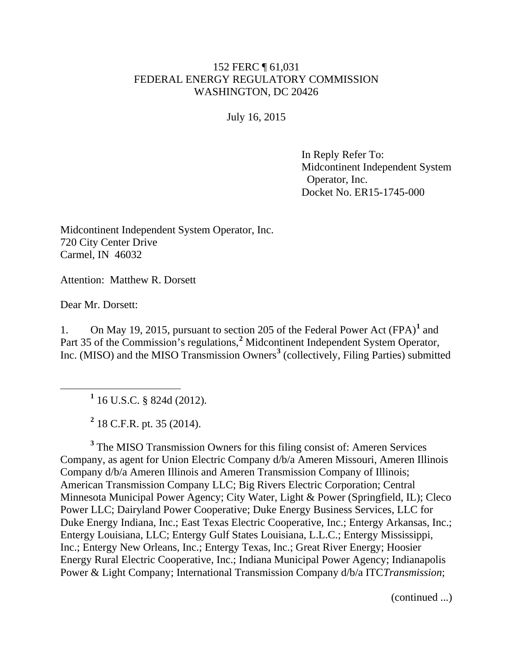## 152 FERC ¶ 61,031 FEDERAL ENERGY REGULATORY COMMISSION WASHINGTON, DC 20426

July 16, 2015

In Reply Refer To: Midcontinent Independent System Operator, Inc. Docket No. ER15-1745-000

Midcontinent Independent System Operator, Inc. 720 City Center Drive Carmel, IN 46032

Attention: Matthew R. Dorsett

Dear Mr. Dorsett:

1. On May 19, 2015, pursuant to section 205 of the Federal Power Act (FPA)**[1](#page-0-0)** and Part 35 of the Commission's regulations,<sup>[2](#page-0-1)</sup> Midcontinent Independent System Operator, Inc. (MISO) and the MISO Transmission Owners**[3](#page-0-2)** (collectively, Filing Parties) submitted

**<sup>1</sup>** 16 U.S.C. § 824d (2012).

**<sup>2</sup>** 18 C.F.R. pt. 35 (2014).

<span id="page-0-2"></span><span id="page-0-1"></span><span id="page-0-0"></span>**<sup>3</sup>** The MISO Transmission Owners for this filing consist of: Ameren Services Company, as agent for Union Electric Company d/b/a Ameren Missouri, Ameren Illinois Company d/b/a Ameren Illinois and Ameren Transmission Company of Illinois; American Transmission Company LLC; Big Rivers Electric Corporation; Central Minnesota Municipal Power Agency; City Water, Light & Power (Springfield, IL); Cleco Power LLC; Dairyland Power Cooperative; Duke Energy Business Services, LLC for Duke Energy Indiana, Inc.; East Texas Electric Cooperative, Inc.; Entergy Arkansas, Inc.; Entergy Louisiana, LLC; Entergy Gulf States Louisiana, L.L.C.; Entergy Mississippi, Inc.; Entergy New Orleans, Inc.; Entergy Texas, Inc.; Great River Energy; Hoosier Energy Rural Electric Cooperative, Inc.; Indiana Municipal Power Agency; Indianapolis Power & Light Company; International Transmission Company d/b/a ITC*Transmission*;

(continued ...)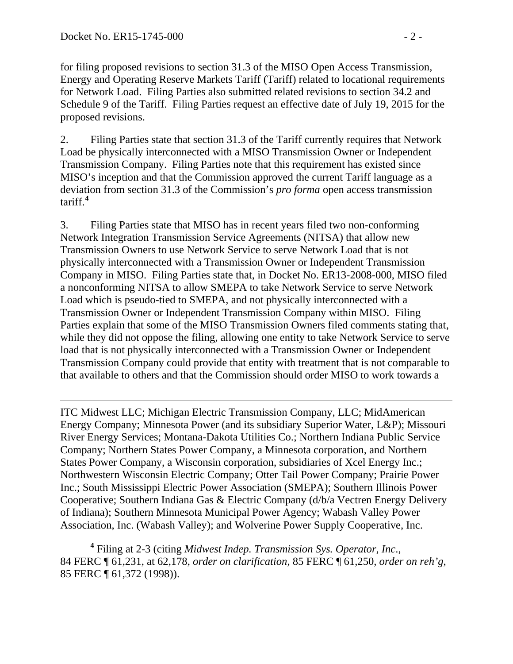$\overline{a}$ 

for filing proposed revisions to section 31.3 of the MISO Open Access Transmission, Energy and Operating Reserve Markets Tariff (Tariff) related to locational requirements for Network Load. Filing Parties also submitted related revisions to section 34.2 and Schedule 9 of the Tariff. Filing Parties request an effective date of July 19, 2015 for the proposed revisions.

2. Filing Parties state that section 31.3 of the Tariff currently requires that Network Load be physically interconnected with a MISO Transmission Owner or Independent Transmission Company. Filing Parties note that this requirement has existed since MISO's inception and that the Commission approved the current Tariff language as a deviation from section 31.3 of the Commission's *pro forma* open access transmission tariff. **[4](#page-1-0)**

3. Filing Parties state that MISO has in recent years filed two non-conforming Network Integration Transmission Service Agreements (NITSA) that allow new Transmission Owners to use Network Service to serve Network Load that is not physically interconnected with a Transmission Owner or Independent Transmission Company in MISO. Filing Parties state that, in Docket No. ER13-2008-000, MISO filed a nonconforming NITSA to allow SMEPA to take Network Service to serve Network Load which is pseudo-tied to SMEPA, and not physically interconnected with a Transmission Owner or Independent Transmission Company within MISO. Filing Parties explain that some of the MISO Transmission Owners filed comments stating that, while they did not oppose the filing, allowing one entity to take Network Service to serve load that is not physically interconnected with a Transmission Owner or Independent Transmission Company could provide that entity with treatment that is not comparable to that available to others and that the Commission should order MISO to work towards a

ITC Midwest LLC; Michigan Electric Transmission Company, LLC; MidAmerican Energy Company; Minnesota Power (and its subsidiary Superior Water, L&P); Missouri River Energy Services; Montana-Dakota Utilities Co.; Northern Indiana Public Service Company; Northern States Power Company, a Minnesota corporation, and Northern States Power Company, a Wisconsin corporation, subsidiaries of Xcel Energy Inc.; Northwestern Wisconsin Electric Company; Otter Tail Power Company; Prairie Power Inc.; South Mississippi Electric Power Association (SMEPA); Southern Illinois Power Cooperative; Southern Indiana Gas & Electric Company (d/b/a Vectren Energy Delivery of Indiana); Southern Minnesota Municipal Power Agency; Wabash Valley Power Association, Inc. (Wabash Valley); and Wolverine Power Supply Cooperative, Inc.

<span id="page-1-0"></span> **<sup>4</sup>** Filing at 2-3 (citing *Midwest Indep. Transmission Sys. Operator, Inc*., 84 FERC ¶ 61,231, at 62,178, *order on clarification*, 85 FERC ¶ 61,250, *order on reh'g*, 85 FERC ¶ 61,372 (1998)).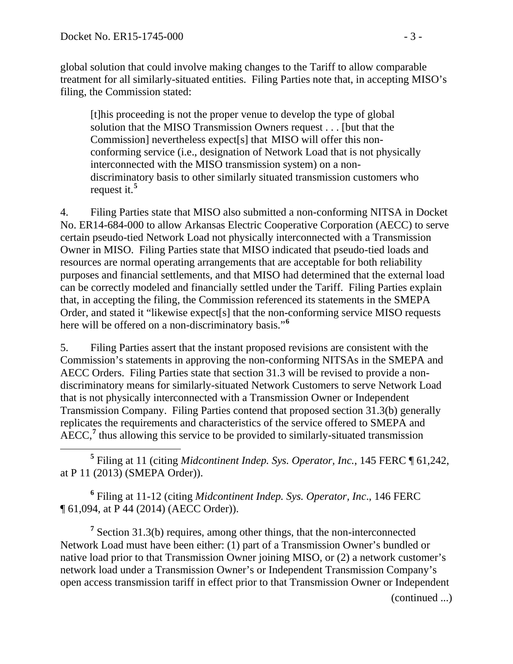global solution that could involve making changes to the Tariff to allow comparable treatment for all similarly-situated entities. Filing Parties note that, in accepting MISO's filing, the Commission stated:

[t]his proceeding is not the proper venue to develop the type of global solution that the MISO Transmission Owners request . . . [but that the Commission] nevertheless expect[s] that MISO will offer this nonconforming service (i.e., designation of Network Load that is not physically interconnected with the MISO transmission system) on a nondiscriminatory basis to other similarly situated transmission customers who request it.**[5](#page-2-0)**

4. Filing Parties state that MISO also submitted a non-conforming NITSA in Docket No. ER14-684-000 to allow Arkansas Electric Cooperative Corporation (AECC) to serve certain pseudo-tied Network Load not physically interconnected with a Transmission Owner in MISO. Filing Parties state that MISO indicated that pseudo-tied loads and resources are normal operating arrangements that are acceptable for both reliability purposes and financial settlements, and that MISO had determined that the external load can be correctly modeled and financially settled under the Tariff. Filing Parties explain that, in accepting the filing, the Commission referenced its statements in the SMEPA Order, and stated it "likewise expect[s] that the non-conforming service MISO requests here will be offered on a non-discriminatory basis."**[6](#page-2-1)**

5. Filing Parties assert that the instant proposed revisions are consistent with the Commission's statements in approving the non-conforming NITSAs in the SMEPA and AECC Orders. Filing Parties state that section 31.3 will be revised to provide a nondiscriminatory means for similarly-situated Network Customers to serve Network Load that is not physically interconnected with a Transmission Owner or Independent Transmission Company. Filing Parties contend that proposed section 31.3(b) generally replicates the requirements and characteristics of the service offered to SMEPA and AECC,<sup>[7](#page-2-2)</sup> thus allowing this service to be provided to similarly-situated transmission

<span id="page-2-0"></span> **<sup>5</sup>** Filing at 11 (citing *Midcontinent Indep. Sys. Operator, Inc.*, 145 FERC ¶ 61,242, at P 11 (2013) (SMEPA Order)).

<span id="page-2-1"></span>**<sup>6</sup>** Filing at 11-12 (citing *Midcontinent Indep. Sys. Operator, Inc*., 146 FERC ¶ 61,094, at P 44 (2014) (AECC Order)).

<span id="page-2-2"></span>**<sup>7</sup>** Section 31.3(b) requires, among other things, that the non-interconnected Network Load must have been either: (1) part of a Transmission Owner's bundled or native load prior to that Transmission Owner joining MISO, or (2) a network customer's network load under a Transmission Owner's or Independent Transmission Company's open access transmission tariff in effect prior to that Transmission Owner or Independent

(continued ...)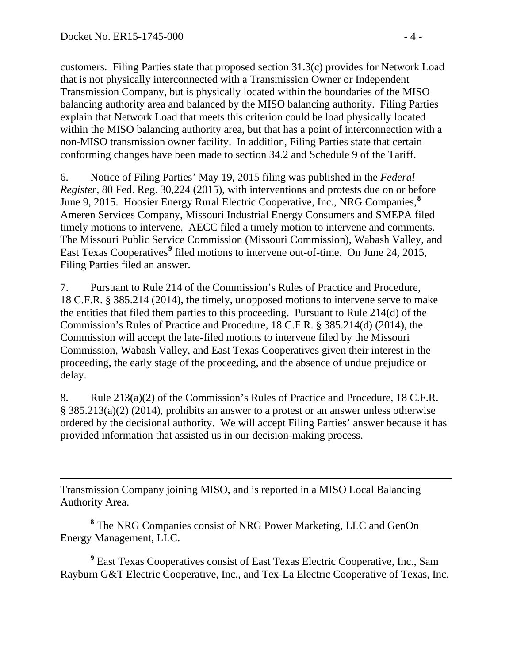customers. Filing Parties state that proposed section 31.3(c) provides for Network Load that is not physically interconnected with a Transmission Owner or Independent Transmission Company, but is physically located within the boundaries of the MISO balancing authority area and balanced by the MISO balancing authority. Filing Parties explain that Network Load that meets this criterion could be load physically located within the MISO balancing authority area, but that has a point of interconnection with a non-MISO transmission owner facility. In addition, Filing Parties state that certain conforming changes have been made to section 34.2 and Schedule 9 of the Tariff.

6. Notice of Filing Parties' May 19, 2015 filing was published in the *Federal Register*, 80 Fed. Reg. 30,224 (2015), with interventions and protests due on or before June 9, 2015. Hoosier Energy Rural Electric Cooperative, Inc., NRG Companies,**[8](#page-3-0)** Ameren Services Company, Missouri Industrial Energy Consumers and SMEPA filed timely motions to intervene. AECC filed a timely motion to intervene and comments. The Missouri Public Service Commission (Missouri Commission), Wabash Valley, and East Texas Cooperatives**[9](#page-3-1)** filed motions to intervene out-of-time. On June 24, 2015, Filing Parties filed an answer.

7. Pursuant to Rule 214 of the Commission's Rules of Practice and Procedure, 18 C.F.R. § 385.214 (2014), the timely, unopposed motions to intervene serve to make the entities that filed them parties to this proceeding. Pursuant to Rule 214(d) of the Commission's Rules of Practice and Procedure, 18 C.F.R. § 385.214(d) (2014), the Commission will accept the late-filed motions to intervene filed by the Missouri Commission, Wabash Valley, and East Texas Cooperatives given their interest in the proceeding, the early stage of the proceeding, and the absence of undue prejudice or delay.

8. Rule 213(a)(2) of the Commission's Rules of Practice and Procedure, 18 C.F.R. § 385.213(a)(2) (2014), prohibits an answer to a protest or an answer unless otherwise ordered by the decisional authority. We will accept Filing Parties' answer because it has provided information that assisted us in our decision-making process.

 $\overline{a}$ Transmission Company joining MISO, and is reported in a MISO Local Balancing Authority Area.

<span id="page-3-0"></span>**<sup>8</sup>** The NRG Companies consist of NRG Power Marketing, LLC and GenOn Energy Management, LLC.

<span id="page-3-1"></span>**<sup>9</sup>** East Texas Cooperatives consist of East Texas Electric Cooperative, Inc., Sam Rayburn G&T Electric Cooperative, Inc., and Tex-La Electric Cooperative of Texas, Inc.